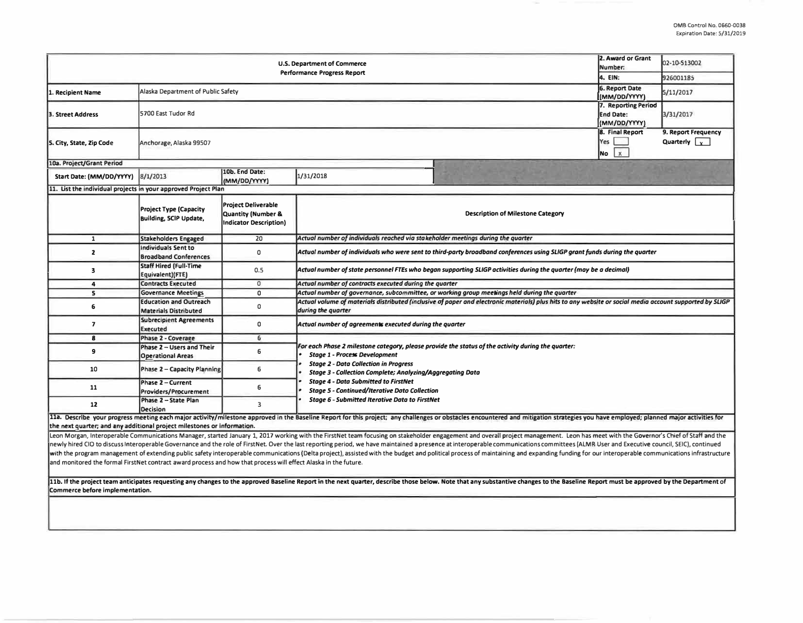|                                                                                                                                                                                                                                                                                                                                                                                                                                                                 | 2. Award or Grant<br>Number:                                   | 02-10-S13002                                                                      |                                                                                                                                                                                |  |  |  |  |  |  |  |
|-----------------------------------------------------------------------------------------------------------------------------------------------------------------------------------------------------------------------------------------------------------------------------------------------------------------------------------------------------------------------------------------------------------------------------------------------------------------|----------------------------------------------------------------|-----------------------------------------------------------------------------------|--------------------------------------------------------------------------------------------------------------------------------------------------------------------------------|--|--|--|--|--|--|--|
|                                                                                                                                                                                                                                                                                                                                                                                                                                                                 | 4. EIN:                                                        | 926001185                                                                         |                                                                                                                                                                                |  |  |  |  |  |  |  |
| . Recipient Name                                                                                                                                                                                                                                                                                                                                                                                                                                                | Alaska Department of Public Safety                             | <b>6. Report Date</b><br>(MM/DD/YYYY)                                             | 5/11/2017                                                                                                                                                                      |  |  |  |  |  |  |  |
| 3. Street Address                                                                                                                                                                                                                                                                                                                                                                                                                                               | 5700 East Tudor Rd                                             | 7. Reporting Period<br><b>End Date:</b><br>(MM/DD/YYYY)                           | 3/31/2017                                                                                                                                                                      |  |  |  |  |  |  |  |
| 5. City, State, Zip Code                                                                                                                                                                                                                                                                                                                                                                                                                                        | Anchorage, Alaska 99507                                        | 8. Final Report<br>Yes<br>$\mathbf{x}$<br><b>No</b>                               | 9. Report Frequency<br>Quarterly $\boxed{\mathbf{x}}$                                                                                                                          |  |  |  |  |  |  |  |
| 10a. Project/Grant Period                                                                                                                                                                                                                                                                                                                                                                                                                                       |                                                                |                                                                                   |                                                                                                                                                                                |  |  |  |  |  |  |  |
| Start Date: (MM/DD/YYYY)                                                                                                                                                                                                                                                                                                                                                                                                                                        | 8/1/2013                                                       | 10b. End Date:<br>(MM/DD/YYYY)                                                    | 1/31/2018                                                                                                                                                                      |  |  |  |  |  |  |  |
| 11. List the individual projects in your approved Project Plan                                                                                                                                                                                                                                                                                                                                                                                                  |                                                                |                                                                                   |                                                                                                                                                                                |  |  |  |  |  |  |  |
|                                                                                                                                                                                                                                                                                                                                                                                                                                                                 | <b>Project Type (Capacity</b><br><b>Building, SCIP Update,</b> | <b>Project Deliverable</b><br>Quantity (Number &<br><b>Indicator Description)</b> | <b>Description of Milestone Category</b>                                                                                                                                       |  |  |  |  |  |  |  |
| $\mathbf{1}$                                                                                                                                                                                                                                                                                                                                                                                                                                                    | <b>Stakeholders Engaged</b>                                    | 20                                                                                | Actual number of individuals reached via stakeholder meetings during the quarter                                                                                               |  |  |  |  |  |  |  |
| $\mathbf{z}$                                                                                                                                                                                                                                                                                                                                                                                                                                                    | <b>Individuals Sent to</b><br><b>Broadband Conferences</b>     | $\mathsf{o}$                                                                      | Actual number of individuals who were sent to third-party broadband conferences using SLIGP grant funds during the quarter                                                     |  |  |  |  |  |  |  |
| $\overline{\mathbf{3}}$                                                                                                                                                                                                                                                                                                                                                                                                                                         | <b>Staff Hired (Full-Time</b><br>Equivalent)(FTE)              | 0.5                                                                               | Actual number of state personnel FTEs who began supporting SLIGP activities during the quarter (may be a decimal)                                                              |  |  |  |  |  |  |  |
| 4                                                                                                                                                                                                                                                                                                                                                                                                                                                               | <b>Contracts Executed</b>                                      | $\circ$                                                                           | Actual number of contracts executed during the quarter                                                                                                                         |  |  |  |  |  |  |  |
| 5                                                                                                                                                                                                                                                                                                                                                                                                                                                               | <b>Governance Meetings</b>                                     | $\mathbf 0$                                                                       | Actual number of governance, subcommittee, or working group meetings held during the quarter                                                                                   |  |  |  |  |  |  |  |
| 6                                                                                                                                                                                                                                                                                                                                                                                                                                                               | <b>Education and Outreach</b><br><b>Materials Distributed</b>  | 0                                                                                 | Actual volume of materials distributed (inclusive of paper and electronic materials) plus hits to any website or social media account supported by SLIGP<br>during the quarter |  |  |  |  |  |  |  |
| $\overline{7}$                                                                                                                                                                                                                                                                                                                                                                                                                                                  | <b>Subrecipient Agreements</b><br><b>Executed</b>              | 0                                                                                 | Actual number of agreements executed during the quarter                                                                                                                        |  |  |  |  |  |  |  |
| 8                                                                                                                                                                                                                                                                                                                                                                                                                                                               | <b>Phase 2 - Coverage</b>                                      | 6                                                                                 |                                                                                                                                                                                |  |  |  |  |  |  |  |
| 9                                                                                                                                                                                                                                                                                                                                                                                                                                                               | Phase 2 - Users and Their<br><b>Operational Areas</b>          | 6                                                                                 | For each Phase 2 milestone category, please provide the status of the activity during the quarter:<br><b>Stage 1 - Process Development</b>                                     |  |  |  |  |  |  |  |
| 10                                                                                                                                                                                                                                                                                                                                                                                                                                                              | <b>Phase 2 - Capacity Planning</b>                             | 6                                                                                 | <b>Stage 2 - Data Collection in Progress</b><br>Stage 3 - Collection Complete; Analyzing/Aggregating Data                                                                      |  |  |  |  |  |  |  |
| 11                                                                                                                                                                                                                                                                                                                                                                                                                                                              | Phase 2 - Current<br><b>Providers/Procurement</b>              | 6                                                                                 | <b>Stage 4 - Data Submitted to FirstNet</b><br><b>Stage 5 - Continued/Iterative Dato Collection</b><br><b>Stage 6 - Submitted Iterative Data to FirstNet</b>                   |  |  |  |  |  |  |  |
| 12                                                                                                                                                                                                                                                                                                                                                                                                                                                              | Phase 2 - State Plan<br><b>Decision</b>                        | $\overline{\mathbf{3}}$                                                           |                                                                                                                                                                                |  |  |  |  |  |  |  |
| 11a. Describe your progress meeting each major activity/milestone approved in the Baseline Report for this project; any challenges or obstacles encountered and mitigation strategies you have employed; planned major activit                                                                                                                                                                                                                                  |                                                                |                                                                                   |                                                                                                                                                                                |  |  |  |  |  |  |  |
| the next quarter; and any additional project milestones or information.                                                                                                                                                                                                                                                                                                                                                                                         |                                                                |                                                                                   |                                                                                                                                                                                |  |  |  |  |  |  |  |
| Leon Morgan, Interoperable Communications Manager, started January 1, 2017 working with the FirstNet team focusing on stakeholder engagement and overall project management. Leon has meet with the Governor's Chief of Staff                                                                                                                                                                                                                                   |                                                                |                                                                                   |                                                                                                                                                                                |  |  |  |  |  |  |  |
| newly hired CIO to discuss Interoperable Governance and the role of FirstNet. Over the last reporting period, we have maintained a presence at interoperable communications committees (ALMR User and Executive council, SEIC)<br>with the program management of extending public safety interoperable communications (Delta project), assisted with the budget and political process of maintaining and expanding funding for our interoperable communications |                                                                |                                                                                   |                                                                                                                                                                                |  |  |  |  |  |  |  |
| and monitored the formal FirstNet contract award process and how that process will effect Alaska in the future.                                                                                                                                                                                                                                                                                                                                                 |                                                                |                                                                                   |                                                                                                                                                                                |  |  |  |  |  |  |  |
| 11b. If the project team anticipates requesting any changes to the approved Baseline Report in the next quarter, describe those below. Note that any substantive changes to the Baseline Report must be approved by the Depart<br>Commerce before implementation.                                                                                                                                                                                               |                                                                |                                                                                   |                                                                                                                                                                                |  |  |  |  |  |  |  |
|                                                                                                                                                                                                                                                                                                                                                                                                                                                                 |                                                                |                                                                                   |                                                                                                                                                                                |  |  |  |  |  |  |  |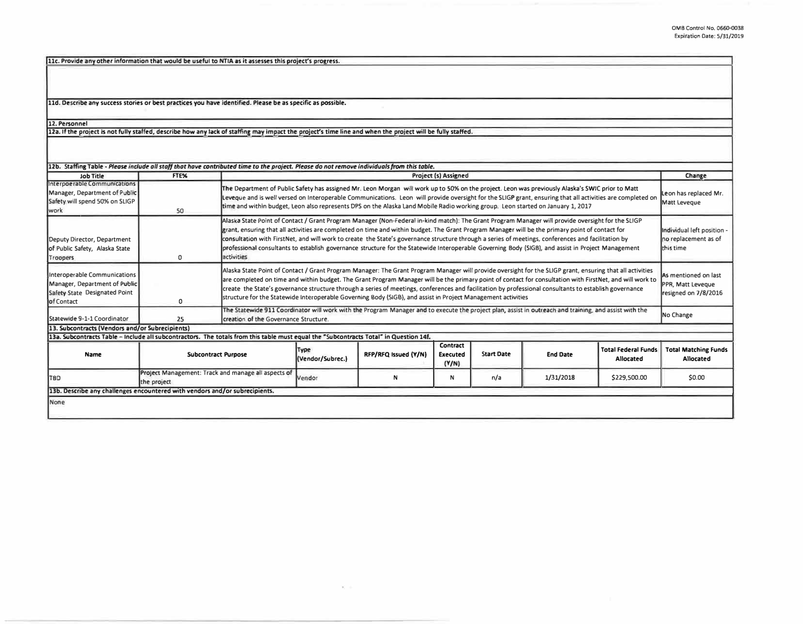11c. Provide any other information that would be useful to NTIA as it assesses this project's progress.

**lld. Describe any success stories or best practices you have identified. Please be as specific as possible.**  '

**12. Personnel** 

**12a. If the project Is not fully staffed, describe how any lack of staffing may Impact the project's time line and when the project will be fullv staffed.** 

| 12b. Staffing Table - Please include all staff that have contributed time to the project. Please do not remove individuals from this table. |                                                                    |            |                                                                                                                                                                                                                                                                                                                                                                                                                                                                                                                                                                                                                                                                                     |                      |                                      |                   |                 |                                         |                                                                   |
|---------------------------------------------------------------------------------------------------------------------------------------------|--------------------------------------------------------------------|------------|-------------------------------------------------------------------------------------------------------------------------------------------------------------------------------------------------------------------------------------------------------------------------------------------------------------------------------------------------------------------------------------------------------------------------------------------------------------------------------------------------------------------------------------------------------------------------------------------------------------------------------------------------------------------------------------|----------------------|--------------------------------------|-------------------|-----------------|-----------------------------------------|-------------------------------------------------------------------|
| Job Title                                                                                                                                   | FTE%                                                               |            | <b>Project (s) Assigned</b>                                                                                                                                                                                                                                                                                                                                                                                                                                                                                                                                                                                                                                                         |                      |                                      |                   |                 |                                         | Change                                                            |
| Interpoerable Communications<br>Manager, Department of Public<br>Safety will spend 50% on SLIGP<br><b>work</b>                              | 50                                                                 |            | The Department of Public Safety has assigned Mr. Leon Morgan will work up to 50% on the project. Leon was previously Alaska's SWIC prior to Matt<br>Leon has replaced Mr.<br>Leveque and is well versed on Interoperable Communications. Leon will provide oversight for the SLIGP grant, ensuring that all activities are completed on<br>Matt Leveque<br>time and within budget, Leon also represents DPS on the Alaska Land Mobile Radio working group. Leon started on January 1, 2017                                                                                                                                                                                          |                      |                                      |                   |                 |                                         |                                                                   |
| Deputy Director, Department<br>of Public Safety, Alaska State<br>Troopers                                                                   | 0                                                                  | activities | Alaska State Point of Contact / Grant Program Manager (Non-Federal in-kind match): The Grant Program Manager will provide oversight for the SLIGP<br>grant, ensuring that all activities are completed on time and within budget. The Grant Program Manager will be the primary point of contact for<br>Individual left position -<br>consultation with FirstNet, and will work to create the State's governance structure through a series of meetings, conferences and facilitation by<br>no replacement as of<br>professional consultants to establish governance structure for the Statewide Interoperable Governing Body (SIGB), and assist in Project Management<br>this time |                      |                                      |                   |                 |                                         |                                                                   |
| Interoperable Communications<br>Manager, Department of Public<br>Safety State Designated Point<br><b>lof</b> Contact                        | O                                                                  |            | Alaska State Point of Contact / Grant Program Manager: The Grant Program Manager will provide oversight for the SLIGP grant, ensuring that all activities<br>are completed on time and within budget. The Grant Program Manager will be the primary point of contact for consultation with FirstNet, and will work to<br>create the State's governance structure through a series of meetings, conferences and facilitation by professional consultants to establish governance<br>structure for the Statewide Interoperable Governing Body (SIGB), and assist in Project Management activities                                                                                     |                      |                                      |                   |                 |                                         | As mentioned on last<br>PPR, Matt Leveque<br>resigned on 7/8/2016 |
| Statewide 9-1-1 Coordinator                                                                                                                 | 25                                                                 |            | The Statewide 911 Coordinator will work with the Program Manager and to execute the project plan, assist in outreach and training, and assist with the<br>creation of the Governance Structure.                                                                                                                                                                                                                                                                                                                                                                                                                                                                                     |                      |                                      |                   |                 |                                         | No Change                                                         |
| 13. Subcontracts (Vendors and/or Subrecipients)                                                                                             |                                                                    |            |                                                                                                                                                                                                                                                                                                                                                                                                                                                                                                                                                                                                                                                                                     |                      |                                      |                   |                 |                                         |                                                                   |
| 13a. Subcontracts Table - Include all subcontractors. The totals from this table must equal the "Subcontracts Total" in Question 14f.       |                                                                    |            |                                                                                                                                                                                                                                                                                                                                                                                                                                                                                                                                                                                                                                                                                     |                      |                                      |                   |                 |                                         |                                                                   |
| Name                                                                                                                                        | <b>Subcontract Purpose</b>                                         |            | Type<br>(Vendor/Subrec.)                                                                                                                                                                                                                                                                                                                                                                                                                                                                                                                                                                                                                                                            | RFP/RFQ Issued (Y/N) | Contract<br><b>Executed</b><br>(Y/N) | <b>Start Date</b> | <b>End Date</b> | <b>Total Federal Funds</b><br>Allocated | <b>Total Matching Funds</b><br>Allocated                          |
| <b>TBD</b>                                                                                                                                  | Project Management: Track and manage all aspects of<br>the project |            | Vendor                                                                                                                                                                                                                                                                                                                                                                                                                                                                                                                                                                                                                                                                              | N                    | N                                    | n/a               | 1/31/2018       | \$229,500.00                            | \$0.00                                                            |
| 13b. Describe any challenges encountered with vendors and/or subrecipients.                                                                 |                                                                    |            |                                                                                                                                                                                                                                                                                                                                                                                                                                                                                                                                                                                                                                                                                     |                      |                                      |                   |                 |                                         |                                                                   |
| None                                                                                                                                        |                                                                    |            |                                                                                                                                                                                                                                                                                                                                                                                                                                                                                                                                                                                                                                                                                     |                      |                                      |                   |                 |                                         |                                                                   |

 $\langle \Phi \rangle = 0$